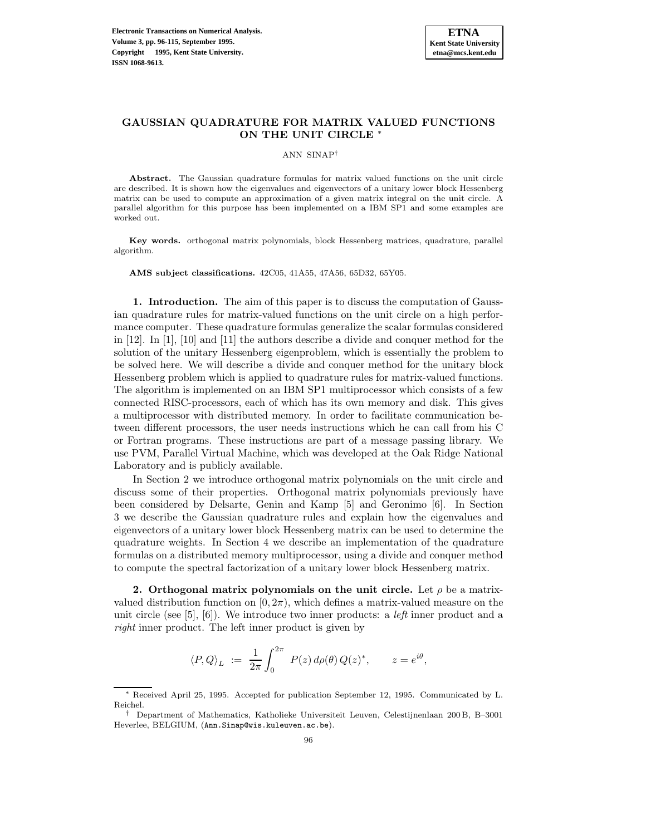# **GAUSSIAN QUADRATURE FOR MATRIX VALUED FUNCTIONS ON THE UNIT CIRCLE** <sup>∗</sup>

ANN SINAP†

**Abstract.** The Gaussian quadrature formulas for matrix valued functions on the unit circle are described. It is shown how the eigenvalues and eigenvectors of a unitary lower block Hessenberg matrix can be used to compute an approximation of a given matrix integral on the unit circle. A parallel algorithm for this purpose has been implemented on a IBM SP1 and some examples are worked out.

**Key words.** orthogonal matrix polynomials, block Hessenberg matrices, quadrature, parallel algorithm.

**AMS subject classifications.** 42C05, 41A55, 47A56, 65D32, 65Y05.

**1. Introduction.** The aim of this paper is to discuss the computation of Gaussian quadrature rules for matrix-valued functions on the unit circle on a high performance computer. These quadrature formulas generalize the scalar formulas considered in [12]. In [1], [10] and [11] the authors describe a divide and conquer method for the solution of the unitary Hessenberg eigenproblem, which is essentially the problem to be solved here. We will describe a divide and conquer method for the unitary block Hessenberg problem which is applied to quadrature rules for matrix-valued functions. The algorithm is implemented on an IBM SP1 multiprocessor which consists of a few connected RISC-processors, each of which has its own memory and disk. This gives a multiprocessor with distributed memory. In order to facilitate communication between different processors, the user needs instructions which he can call from his C or Fortran programs. These instructions are part of a message passing library. We use PVM, Parallel Virtual Machine, which was developed at the Oak Ridge National Laboratory and is publicly available.

In Section 2 we introduce orthogonal matrix polynomials on the unit circle and discuss some of their properties. Orthogonal matrix polynomials previously have been considered by Delsarte, Genin and Kamp [5] and Geronimo [6]. In Section 3 we describe the Gaussian quadrature rules and explain how the eigenvalues and eigenvectors of a unitary lower block Hessenberg matrix can be used to determine the quadrature weights. In Section 4 we describe an implementation of the quadrature formulas on a distributed memory multiprocessor, using a divide and conquer method to compute the spectral factorization of a unitary lower block Hessenberg matrix.

**2. Orthogonal matrix polynomials on the unit circle.** Let  $\rho$  be a matrixvalued distribution function on  $[0, 2\pi)$ , which defines a matrix-valued measure on the unit circle (see [5], [6]). We introduce two inner products: a *left* inner product and a *right* inner product. The left inner product is given by

$$
\langle P, Q \rangle_L \; := \; \frac{1}{2\pi} \int_0^{2\pi} \; P(z) \, d\rho(\theta) \, Q(z)^*, \qquad z = e^{i\theta},
$$

<sup>∗</sup> Received April 25, 1995. Accepted for publication September 12, 1995. Communicated by L. Reichel.

<sup>†</sup> Department of Mathematics, Katholieke Universiteit Leuven, Celestijnenlaan 200 B, B–3001 Heverlee, BELGIUM, (Ann.Sinap@wis.kuleuven.ac.be).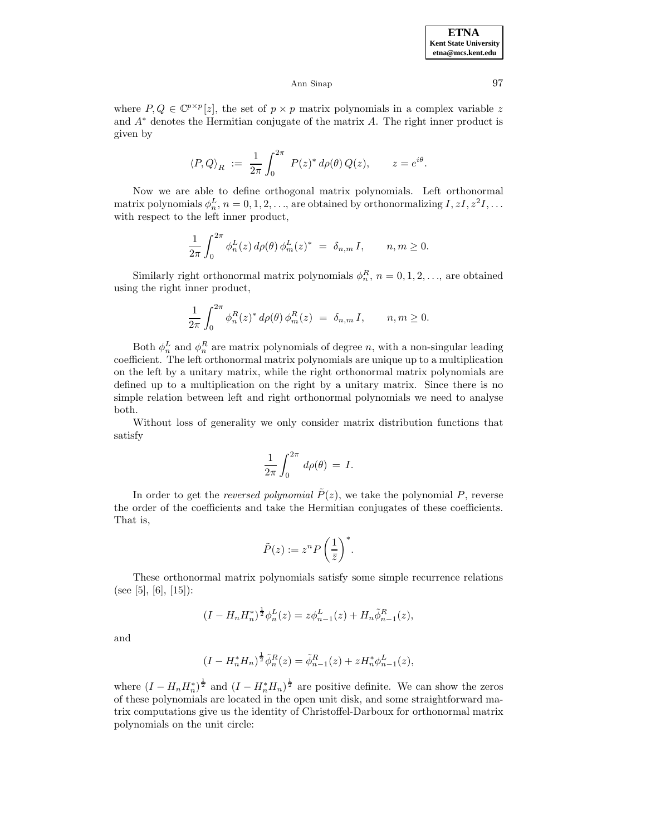where  $P, Q \in \mathbb{C}^{p \times p}[z]$ , the set of  $p \times p$  matrix polynomials in a complex variable z and  $A^*$  denotes the Hermitian conjugate of the matrix  $A$ . The right inner product is given by

$$
\left\langle P,Q\right\rangle_R\;:=\;\frac{1}{2\pi}\int_0^{2\pi}\;P(z)^*\,d\rho(\theta)\,Q(z),\qquad z=e^{i\theta}.
$$

Now we are able to define orthogonal matrix polynomials. Left orthonormal matrix polynomials  $\phi_n^L$ ,  $n = 0, 1, 2, \ldots$ , are obtained by orthonormalizing  $I, zI, z^2I, \ldots$ with respect to the left inner product,

$$
\frac{1}{2\pi} \int_0^{2\pi} \phi_n^L(z) d\rho(\theta) \phi_m^L(z)^* = \delta_{n,m} I, \qquad n, m \ge 0.
$$

Similarly right orthonormal matrix polynomials  $\phi_n^R$ ,  $n = 0, 1, 2, \ldots$ , are obtained using the right inner product,

$$
\frac{1}{2\pi} \int_0^{2\pi} \phi_n^R(z)^* d\rho(\theta) \phi_m^R(z) = \delta_{n,m} I, \qquad n, m \ge 0.
$$

Both  $\phi_n^L$  and  $\phi_n^R$  are matrix polynomials of degree n, with a non-singular leading coefficient. The left orthonormal matrix polynomials are unique up to a multiplication on the left by a unitary matrix, while the right orthonormal matrix polynomials are defined up to a multiplication on the right by a unitary matrix. Since there is no simple relation between left and right orthonormal polynomials we need to analyse both.

Without loss of generality we only consider matrix distribution functions that satisfy

$$
\frac{1}{2\pi} \int_0^{2\pi} d\rho(\theta) = I.
$$

In order to get the *reversed polynomial*  $\tilde{P}(z)$ , we take the polynomial P, reverse the order of the coefficients and take the Hermitian conjugates of these coefficients. That is,

$$
\tilde{P}(z) := z^n P\left(\frac{1}{\bar{z}}\right)^*.
$$

These orthonormal matrix polynomials satisfy some simple recurrence relations (see [5], [6], [15]):

$$
(I - H_n H_n^*)^{\frac{1}{2}} \phi_n^L(z) = z \phi_{n-1}^L(z) + H_n \tilde{\phi}_{n-1}^R(z),
$$

and

$$
(I - H_n^* H_n)^{\frac{1}{2}} \tilde{\phi}_n^R(z) = \tilde{\phi}_{n-1}^R(z) + z H_n^* \phi_{n-1}^L(z),
$$

where  $(I - H_n H_n^*)^{\frac{1}{2}}$  and  $(I - H_n^* H_n)^{\frac{1}{2}}$  are positive definite. We can show the zeros of these polynomials are located in the open unit disk, and some straightforward matrix computations give us the identity of Christoffel-Darboux for orthonormal matrix polynomials on the unit circle: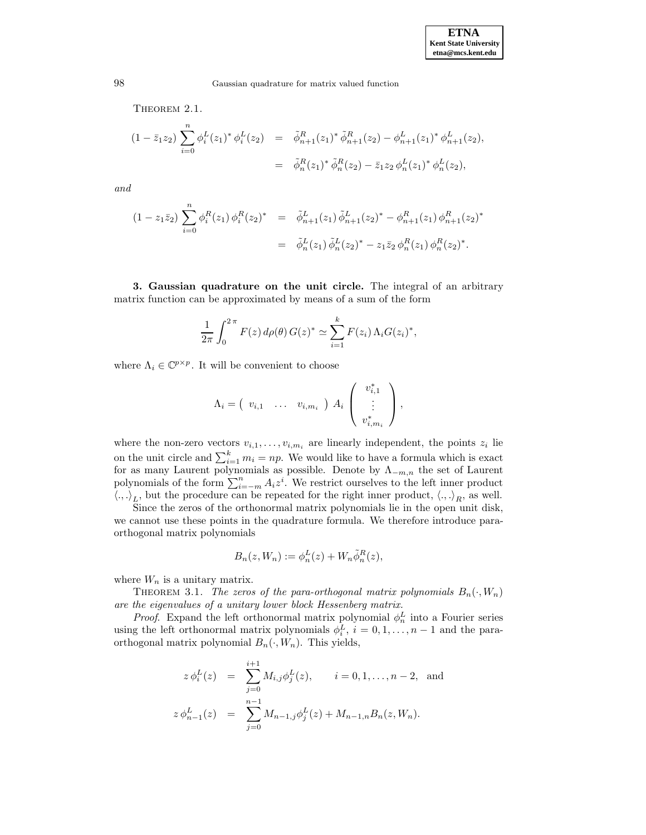THEOREM 2.1.

$$
(1 - \bar{z}_1 z_2) \sum_{i=0}^n \phi_i^L(z_1)^* \phi_i^L(z_2) = \tilde{\phi}_{n+1}^R(z_1)^* \tilde{\phi}_{n+1}^R(z_2) - \phi_{n+1}^L(z_1)^* \phi_{n+1}^L(z_2),
$$
  

$$
= \tilde{\phi}_n^R(z_1)^* \tilde{\phi}_n^R(z_2) - \bar{z}_1 z_2 \phi_n^L(z_1)^* \phi_n^L(z_2),
$$

*and*

$$
(1 - z_1 \bar{z}_2) \sum_{i=0}^n \phi_i^R(z_1) \phi_i^R(z_2)^* = \tilde{\phi}_{n+1}^L(z_1) \tilde{\phi}_{n+1}^L(z_2)^* - \phi_{n+1}^R(z_1) \phi_{n+1}^R(z_2)^* = \tilde{\phi}_n^L(z_1) \tilde{\phi}_n^L(z_2)^* - z_1 \bar{z}_2 \phi_n^R(z_1) \phi_n^R(z_2)^*.
$$

**3. Gaussian quadrature on the unit circle.** The integral of an arbitrary matrix function can be approximated by means of a sum of the form

$$
\frac{1}{2\pi} \int_0^{2\pi} F(z) d\rho(\theta) G(z)^* \simeq \sum_{i=1}^k F(z_i) \Lambda_i G(z_i)^*,
$$

where  $\Lambda_i \in \mathbb{C}^{p \times p}$ . It will be convenient to choose

$$
\Lambda_i = \begin{pmatrix} v_{i,1} & \dots & v_{i,m_i} \end{pmatrix} A_i \begin{pmatrix} v_{i,1}^* \\ \vdots \\ v_{i,m_i}^* \end{pmatrix},
$$

where the non-zero vectors  $v_{i,1},\ldots,v_{i,m_i}$  are linearly independent, the points  $z_i$  lie on the unit circle and  $\sum_{i=1}^{k} m_i = np$ . We would like to have a formula which is exact for as many Laurent polynomials as possible. Denote by  $\Lambda_{-m,n}$  the set of Laurent polynomials of the form  $\sum_{i=-m}^{n} A_i z^i$ . We restrict ourselves to the left inner product  $\langle ., .\rangle_L$ , but the procedure can be repeated for the right inner product,  $\langle ., .\rangle_R$ , as well.

Since the zeros of the orthonormal matrix polynomials lie in the open unit disk, we cannot use these points in the quadrature formula. We therefore introduce paraorthogonal matrix polynomials

$$
B_n(z, W_n) := \phi_n^L(z) + W_n \tilde{\phi}_n^R(z),
$$

where  $W_n$  is a unitary matrix.

THEOREM 3.1. *The zeros of the para-orthogonal matrix polynomials*  $B_n(\cdot, W_n)$ *are the eigenvalues of a unitary lower block Hessenberg matrix.*

*Proof.* Expand the left orthonormal matrix polynomial  $\phi_n^L$  into a Fourier series using the left orthonormal matrix polynomials  $\phi_i^L$ ,  $i = 0, 1, ..., n-1$  and the paraorthogonal matrix polynomial  $B_n(\cdot, W_n)$ . This yields,

$$
z \phi_i^L(z) = \sum_{j=0}^{i+1} M_{i,j} \phi_j^L(z), \qquad i = 0, 1, ..., n-2, \text{ and}
$$
  

$$
z \phi_{n-1}^L(z) = \sum_{j=0}^{n-1} M_{n-1,j} \phi_j^L(z) + M_{n-1,n} B_n(z, W_n).
$$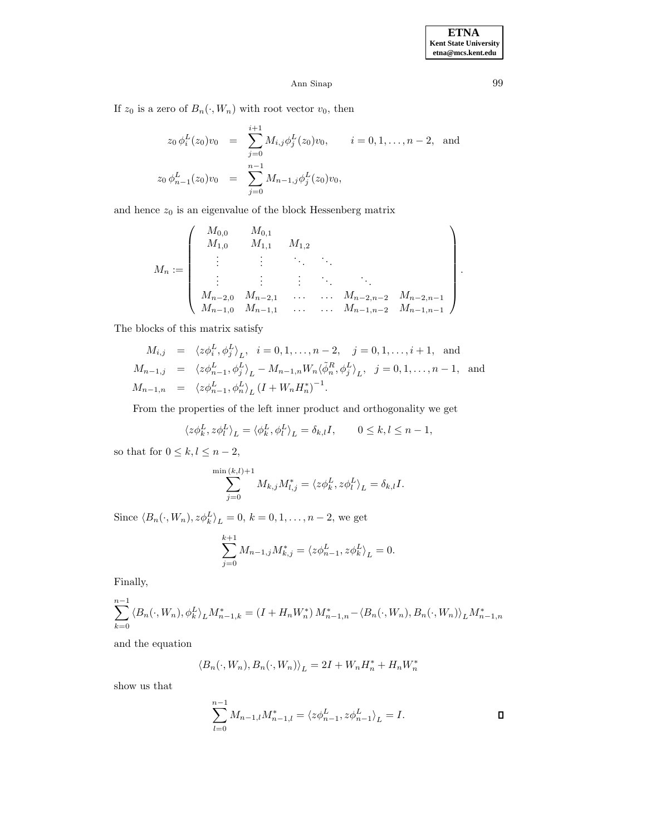If  $z_0$  is a zero of  $B_n(\cdot, W_n)$  with root vector  $v_0$ , then

$$
z_0 \phi_i^L(z_0) v_0 = \sum_{j=0}^{i+1} M_{i,j} \phi_j^L(z_0) v_0, \qquad i = 0, 1, ..., n-2, \text{ and}
$$
  

$$
z_0 \phi_{n-1}^L(z_0) v_0 = \sum_{j=0}^{n-1} M_{n-1,j} \phi_j^L(z_0) v_0,
$$

and hence  $z_0$  is an eigenvalue of the block Hessenberg matrix

$$
M_{n} := \left(\begin{array}{cccc} M_{0,0} & M_{0,1} \\ M_{1,0} & M_{1,1} & M_{1,2} \\ \vdots & \vdots & \ddots & \vdots \\ M_{n-2,0} & M_{n-2,1} & \cdots & M_{n-2,n-2} & M_{n-2,n-1} \\ M_{n-1,0} & M_{n-1,1} & \cdots & M_{n-1,n-2} & M_{n-1,n-1} \end{array}\right).
$$

The blocks of this matrix satisfy

$$
M_{i,j} = \langle z\phi_i^L, \phi_j^L \rangle_L, \quad i = 0, 1, \dots, n-2, \quad j = 0, 1, \dots, i+1, \text{ and}
$$
  
\n
$$
M_{n-1,j} = \langle z\phi_{n-1}^L, \phi_j^L \rangle_L - M_{n-1,n} W_n \langle \tilde{\phi}_n^R, \phi_j^L \rangle_L, \quad j = 0, 1, \dots, n-1, \text{ and}
$$
  
\n
$$
M_{n-1,n} = \langle z\phi_{n-1}^L, \phi_n^L \rangle_L (I + W_n H_n^*)^{-1}.
$$

From the properties of the left inner product and orthogonality we get

$$
\langle z\phi_k^L, z\phi_l^L \rangle_L = \langle \phi_k^L, \phi_l^L \rangle_L = \delta_{k,l}I, \qquad 0 \le k, l \le n-1,
$$

so that for  $0 \leq k, l \leq n-2$ ,

$$
\sum_{j=0}^{\min(k,l)+1} M_{k,j} M_{l,j}^* = \langle z\phi_k^L, z\phi_l^L \rangle_L = \delta_{k,l} I.
$$

Since  $\langle B_n(\cdot, W_n), z \phi_k^L \rangle_L = 0, k = 0, 1, \ldots, n - 2$ , we get

$$
\sum_{j=0}^{k+1} M_{n-1,j} M_{k,j}^* = \langle z \phi_{n-1}^L, z \phi_k^L \rangle_L = 0.
$$

Finally,

$$
\sum_{k=0}^{n-1} \left\langle B_n(\cdot, W_n), \phi_k^L \right\rangle_L M_{n-1,k}^* = \left( I + H_n W_n^* \right) M_{n-1,n}^* - \left\langle B_n(\cdot, W_n), B_n(\cdot, W_n) \right\rangle_L M_{n-1,n}^*
$$

and the equation

$$
\langle B_n(\cdot, W_n), B_n(\cdot, W_n) \rangle_L = 2I + W_n H_n^* + H_n W_n^*
$$

show us that

$$
\sum_{l=0}^{n-1}M_{n-1,l}M_{n-1,l}^*=\left\langle z\phi_{n-1}^L,z\phi_{n-1}^L\right\rangle_L=I.\hspace{1cm}\square
$$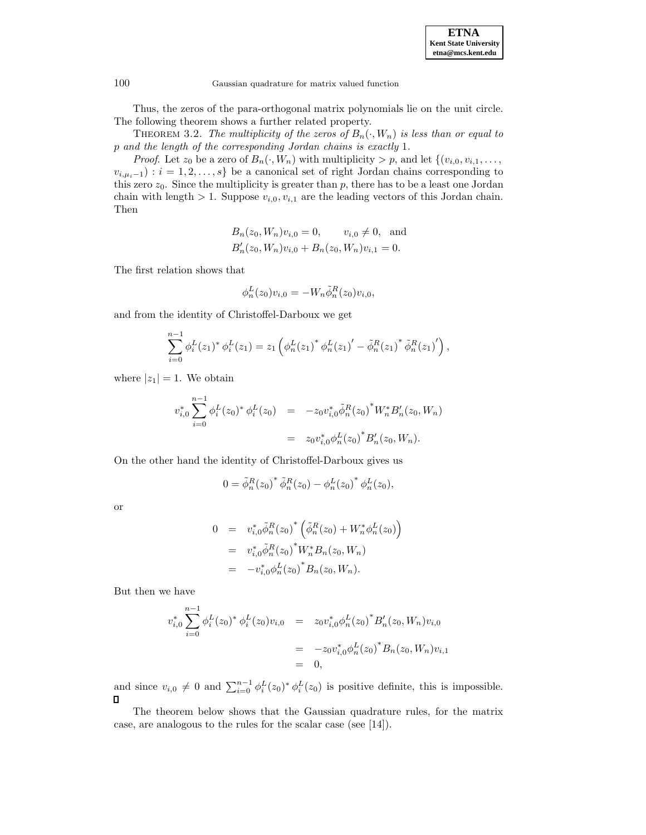

Thus, the zeros of the para-orthogonal matrix polynomials lie on the unit circle. The following theorem shows a further related property.

THEOREM 3.2. The multiplicity of the zeros of  $B_n(\cdot, W_n)$  is less than or equal to p *and the length of the corresponding Jordan chains is exactly* 1*.*

*Proof.* Let  $z_0$  be a zero of  $B_n(\cdot, W_n)$  with multiplicity  $> p$ , and let  $\{(v_{i,0}, v_{i,1}, \ldots, v_{i,n})\}$  $v_{i,\mu_i-1}$ ) :  $i = 1, 2, \ldots, s$ } be a canonical set of right Jordan chains corresponding to this zero  $z_0$ . Since the multiplicity is greater than p, there has to be a least one Jordan chain with length  $> 1$ . Suppose  $v_{i,0}, v_{i,1}$  are the leading vectors of this Jordan chain. Then

$$
B_n(z_0, W_n)v_{i,0} = 0,
$$
  $v_{i,0} \neq 0$ , and  
\n $B'_n(z_0, W_n)v_{i,0} + B_n(z_0, W_n)v_{i,1} = 0.$ 

The first relation shows that

$$
\phi_n^L(z_0)v_{i,0} = -W_n \tilde{\phi}_n^R(z_0)v_{i,0},
$$

and from the identity of Christoffel-Darboux we get

$$
\sum_{i=0}^{n-1} \phi_i^L(z_1)^* \phi_i^L(z_1) = z_1 \left( \phi_n^L(z_1)^* \phi_n^L(z_1)' - \tilde{\phi}_n^R(z_1)^* \tilde{\phi}_n^R(z_1)' \right),
$$

where  $|z_1|=1$ . We obtain

$$
v_{i,0}^* \sum_{i=0}^{n-1} \phi_i^L(z_0)^* \phi_i^L(z_0) = -z_0 v_{i,0}^* \tilde{\phi}_n^R(z_0)^* W_n^* B_n'(z_0, W_n)
$$
  

$$
= z_0 v_{i,0}^* \phi_n^L(z_0)^* B_n'(z_0, W_n).
$$

On the other hand the identity of Christoffel-Darboux gives us

$$
0 = \tilde{\phi}_n^R(z_0)^* \tilde{\phi}_n^R(z_0) - {\phi}_n^L(z_0)^* {\phi}_n^L(z_0),
$$

or

$$
0 = v_{i,0}^* \tilde{\phi}_n^R(z_0)^* \left( \tilde{\phi}_n^R(z_0) + W_n^* \phi_n^L(z_0) \right)
$$
  
=  $v_{i,0}^* \tilde{\phi}_n^R(z_0)^* W_n^* B_n(z_0, W_n)$   
=  $-v_{i,0}^* \phi_n^L(z_0)^* B_n(z_0, W_n).$ 

But then we have

$$
v_{i,0}^* \sum_{i=0}^{n-1} \phi_i^L(z_0)^* \phi_i^L(z_0) v_{i,0} = z_0 v_{i,0}^* \phi_n^L(z_0)^* B'_n(z_0, W_n) v_{i,0}
$$
  
=  $-z_0 v_{i,0}^* \phi_n^L(z_0)^* B_n(z_0, W_n) v_{i,1}$   
= 0,

and since  $v_{i,0} \neq 0$  and  $\sum_{i=0}^{n-1} \phi_i^L(z_0)^* \phi_i^L(z_0)$  is positive definite, this is impossible.  $\Box$ 

The theorem below shows that the Gaussian quadrature rules, for the matrix case, are analogous to the rules for the scalar case (see [14]).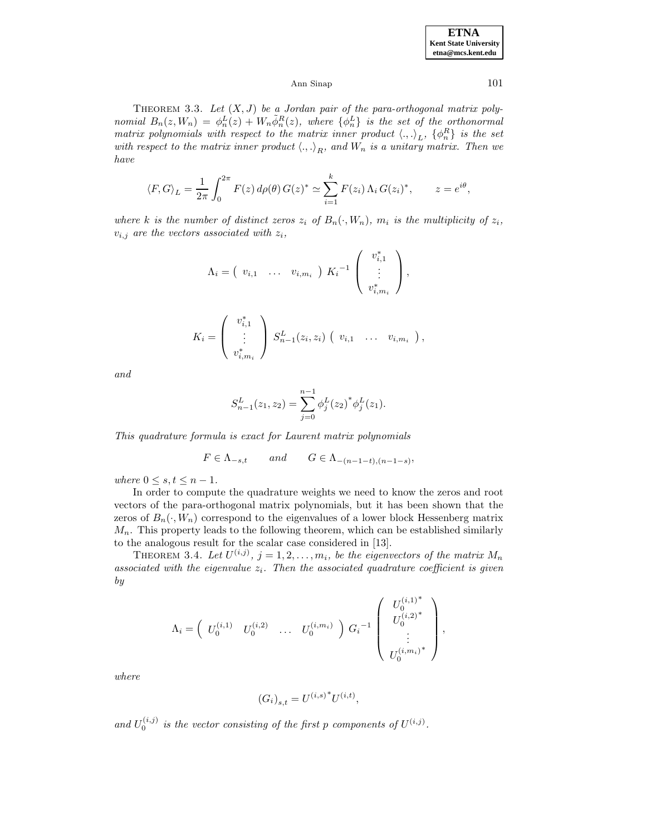THEOREM 3.3. Let  $(X, J)$  be a Jordan pair of the para-orthogonal matrix poly*nomial*  $B_n(z, W_n) = \phi_n^L(z) + W_n \tilde{\phi}_n^R(z)$ , where  $\{\phi_n^L\}$  *is the set of the orthonormal matrix polynomials with respect to the matrix inner product*  $\langle ., . \rangle_L$ ,  $\{\phi_n^R\}$  *is the set with respect to the matrix inner product*  $\langle ., . \rangle_R$ *, and*  $W_n$  *is a unitary matrix. Then we have*

$$
\langle F, G \rangle_L = \frac{1}{2\pi} \int_0^{2\pi} F(z) d\rho(\theta) G(z)^* \simeq \sum_{i=1}^k F(z_i) \Lambda_i G(z_i)^*, \qquad z = e^{i\theta},
$$

*where* k *is the number of distinct zeros*  $z_i$  *of*  $B_n(\cdot, W_n)$ *, m<sub>i</sub> is the multiplicity of*  $z_i$ *,*  $v_{i,j}$  are the vectors associated with  $z_i$ ,

$$
\Lambda_i = \begin{pmatrix} v_{i,1} & \dots & v_{i,m_i} \end{pmatrix} K_i^{-1} \begin{pmatrix} v_{i,1}^* \\ \vdots \\ v_{i,m_i}^* \end{pmatrix},
$$

$$
K_i = \left( \begin{array}{c} v_{i,1}^* \\ \vdots \\ v_{i,m_i}^* \end{array} \right) S_{n-1}^L(z_i,z_i) \left( v_{i,1} \quad \ldots \quad v_{i,m_i} \right),
$$

*and*

$$
S_{n-1}^{L}(z_1, z_2) = \sum_{j=0}^{n-1} \phi_j^{L}(z_2)^{*} \phi_j^{L}(z_1).
$$

*This quadrature formula is exact for Laurent matrix polynomials*

$$
F \in \Lambda_{-s,t} \qquad and \qquad G \in \Lambda_{-(n-1-t),(n-1-s)},
$$

*where*  $0 \leq s, t \leq n-1$ *.* 

In order to compute the quadrature weights we need to know the zeros and root vectors of the para-orthogonal matrix polynomials, but it has been shown that the zeros of  $B_n(\cdot, W_n)$  correspond to the eigenvalues of a lower block Hessenberg matrix  $M_n$ . This property leads to the following theorem, which can be established similarly to the analogous result for the scalar case considered in [13].

THEOREM 3.4. Let  $U^{(i,j)}$ ,  $j = 1, 2, ..., m_i$ , be the eigenvectors of the matrix  $M_n$  $associated\ with\ the\ eigenvalue\ z_i$ *. Then the associated quadrature coefficient is given by*

$$
\Lambda_i = \begin{pmatrix} U_0^{(i,1)} & U_0^{(i,2)} & \dots & U_0^{(i,m_i)} \end{pmatrix} G_i^{-1} \begin{pmatrix} U_0^{(i,1)^*} \\ U_0^{(i,2)^*} \\ \vdots \\ U_0^{(i,m_i)^*} \end{pmatrix},
$$

*where*

$$
(G_i)_{s,t} = {U^{(i,s)}}^* U^{(i,t)},
$$

and  $U_0^{(i,j)}$  is the vector consisting of the first p components of  $U^{(i,j)}$ .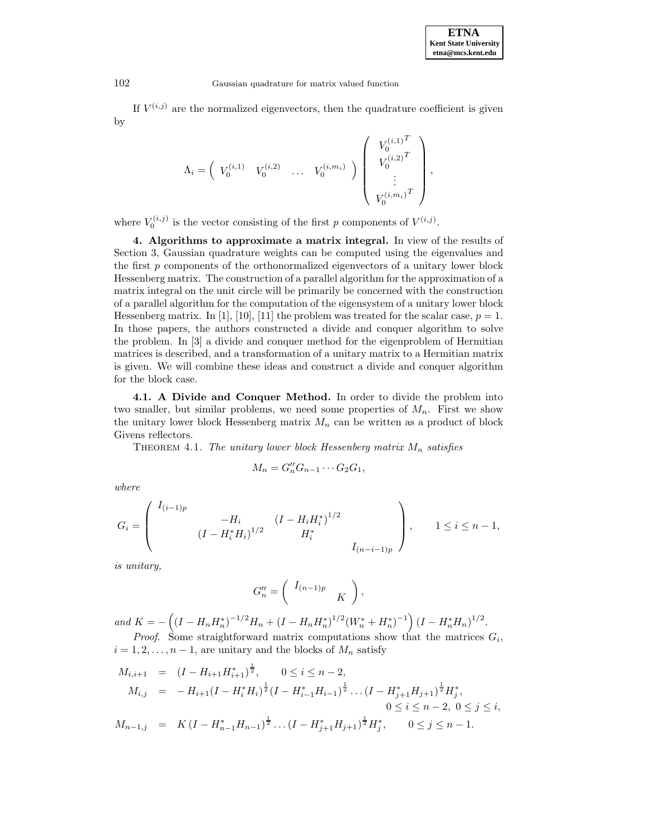If  $V^{(i,j)}$  are the normalized eigenvectors, then the quadrature coefficient is given by

$$
\Lambda_i = \left( \begin{array}{cccc} V_0^{(i,1)} & V_0^{(i,2)} & \ldots & V_0^{(i,m_i)} \end{array} \right) \left( \begin{array}{c} V_0^{(i,1)^T} \\ V_0^{(i,2)^T} \\ \vdots \\ V_0^{(i,m_i)^T} \end{array} \right),
$$

where  $V_0^{(i,j)}$  is the vector consisting of the first p components of  $V^{(i,j)}$ .

**4. Algorithms to approximate a matrix integral.** In view of the results of Section 3, Gaussian quadrature weights can be computed using the eigenvalues and the first  $p$  components of the orthonormalized eigenvectors of a unitary lower block Hessenberg matrix. The construction of a parallel algorithm for the approximation of a matrix integral on the unit circle will be primarily be concerned with the construction of a parallel algorithm for the computation of the eigensystem of a unitary lower block Hessenberg matrix. In [1], [10], [11] the problem was treated for the scalar case,  $p = 1$ . In those papers, the authors constructed a divide and conquer algorithm to solve the problem. In [3] a divide and conquer method for the eigenproblem of Hermitian matrices is described, and a transformation of a unitary matrix to a Hermitian matrix is given. We will combine these ideas and construct a divide and conquer algorithm for the block case.

**4.1. A Divide and Conquer Method.** In order to divide the problem into two smaller, but similar problems, we need some properties of  $M_n$ . First we show the unitary lower block Hessenberg matrix  $M_n$  can be written as a product of block Givens reflectors.

THEOREM 4.1. *The unitary lower block Hessenberg matrix*  $M_n$  *satisfies* 

$$
M_n = G''_n G_{n-1} \cdots G_2 G_1,
$$

*where*

$$
G_i = \begin{pmatrix} I_{(i-1)p} & & & & \\ & -H_i & & (I - H_i H_i)^{1/2} & & \\ & & (I - H_i^* H_i)^{1/2} & & H_i^* & \\ & & & & I_{(n-i-1)p} \end{pmatrix}, \qquad 1 \le i \le n-1,
$$

*is unitary,*

$$
G''_n = \left( \begin{array}{cc} I_{(n-1)p} & \\ & K \end{array} \right),
$$

*and*  $K = -\left((I - H_n H_n^*)^{-1/2} H_n + (I - H_n H_n^*)^{1/2} (W_n^* + H_n^*)^{-1}\right) (I - H_n^* H_n)^{1/2}$ . *Proof.* Some straightforward matrix computations show that the matrices  $G_i$ ,

 $i = 1, 2, \ldots, n - 1$ , are unitary and the blocks of  $M_n$  satisfy

$$
M_{i,i+1} = (I - H_{i+1}H_{i+1}^*)^{\frac{1}{2}}, \quad 0 \le i \le n-2,
$$
  
\n
$$
M_{i,j} = -H_{i+1}(I - H_i^*H_i)^{\frac{1}{2}}(I - H_{i-1}^*H_{i-1})^{\frac{1}{2}}\dots(I - H_{j+1}^*H_{j+1})^{\frac{1}{2}}H_j^*,
$$
  
\n
$$
0 \le i \le n-2, \ 0 \le j \le i,
$$
  
\n
$$
M_{n-1,j} = K(I - H_{n-1}^*H_{n-1})^{\frac{1}{2}}\dots(I - H_{j+1}^*H_{j+1})^{\frac{1}{2}}H_j^*, \quad 0 \le j \le n-1.
$$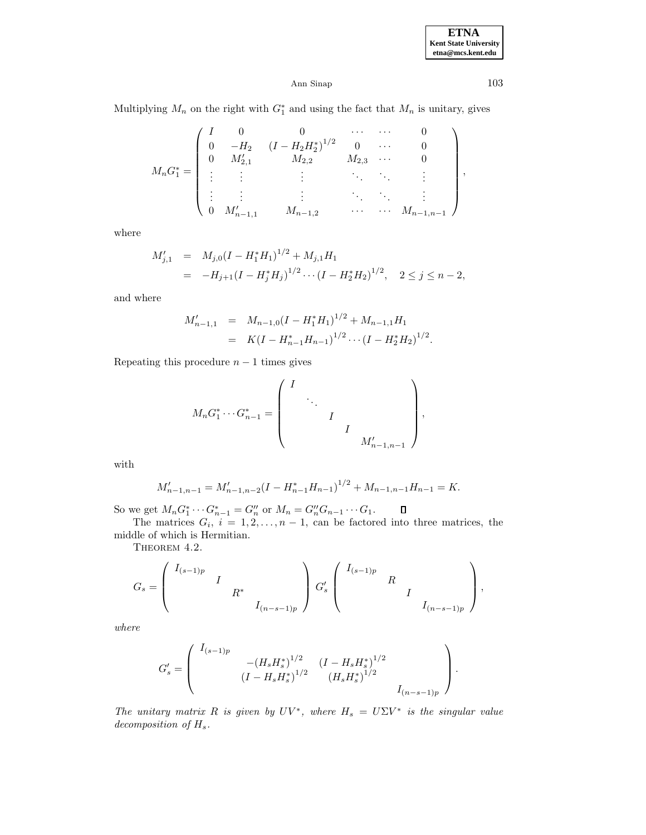**ETNA Kent State University etna@mcs.kent.edu**

# Ann Sinap 103

Multiplying  $M_n$  on the right with  $G_1^*$  and using the fact that  $M_n$  is unitary, gives

$$
M_n G_1^* = \begin{pmatrix} I & 0 & 0 & \cdots & \cdots & 0 \\ 0 & -H_2 & (I - H_2 H_2^*)^{1/2} & 0 & \cdots & 0 \\ 0 & M'_{2,1} & M_{2,2} & M_{2,3} & \cdots & 0 \\ \vdots & \vdots & \vdots & & \ddots & \vdots \\ \vdots & \vdots & & \vdots & \ddots & \vdots \\ 0 & M'_{n-1,1} & M_{n-1,2} & \cdots & \cdots & M_{n-1,n-1} \end{pmatrix},
$$

where

$$
M'_{j,1} = M_{j,0}(I - H_1^* H_1)^{1/2} + M_{j,1} H_1
$$
  
=  $-H_{j+1}(I - H_j^* H_j)^{1/2} \cdots (I - H_2^* H_2)^{1/2}, \quad 2 \le j \le n-2,$ 

and where

$$
M'_{n-1,1} = M_{n-1,0}(I - H_1^* H_1)^{1/2} + M_{n-1,1} H_1
$$
  
=  $K(I - H_{n-1}^* H_{n-1})^{1/2} \cdots (I - H_2^* H_2)^{1/2}.$ 

Repeating this procedure  $n - 1$  times gives

$$
M_n G_1^* \cdots G_{n-1}^* = \begin{pmatrix} I & & & & \\ & \ddots & & & \\ & & I & & \\ & & & I & \\ & & & & M'_{n-1,n-1} \end{pmatrix},
$$

with

$$
M'_{n-1,n-1} = M'_{n-1,n-2}(I - H_{n-1}^* H_{n-1})^{1/2} + M_{n-1,n-1} H_{n-1} = K.
$$

So we get  $M_n G_1^* \cdots G_{n-1}^* = G_n''$  or  $M_n = G_n'' G_{n-1} \cdots G_1$ .

The matrices  $G_i$ ,  $i = 1, 2, ..., n - 1$ , can be factored into three matrices, the middle of which is Hermitian.

THEOREM 4.2.

$$
G_s = \begin{pmatrix} I_{(s-1)p} & & & \\ & I & & \\ & & R^* & \\ & & & I_{(n-s-1)p} \end{pmatrix} G'_s \begin{pmatrix} I_{(s-1)p} & & & \\ & R & & \\ & & I & \\ & & & I_{(n-s-1)p} \end{pmatrix},
$$

*where*

$$
G_s'=\left(\begin{array}{ccc}I_{(s-1)p}& & & \\ & -(H_sH_s^*)^{1/2}&(I-H_sH_s^*)^{1/2}&\\ &(I-H_sH_s^*)^{1/2}&(H_sH_s^*)^{1/2}&\\ &&&I_{(n-s-1)p}\end{array}\right).
$$

*The unitary matrix* R *is given by*  $UV^*$ *, where*  $H_s = U\Sigma V^*$  *is the singular value decomposition of* Hs*.*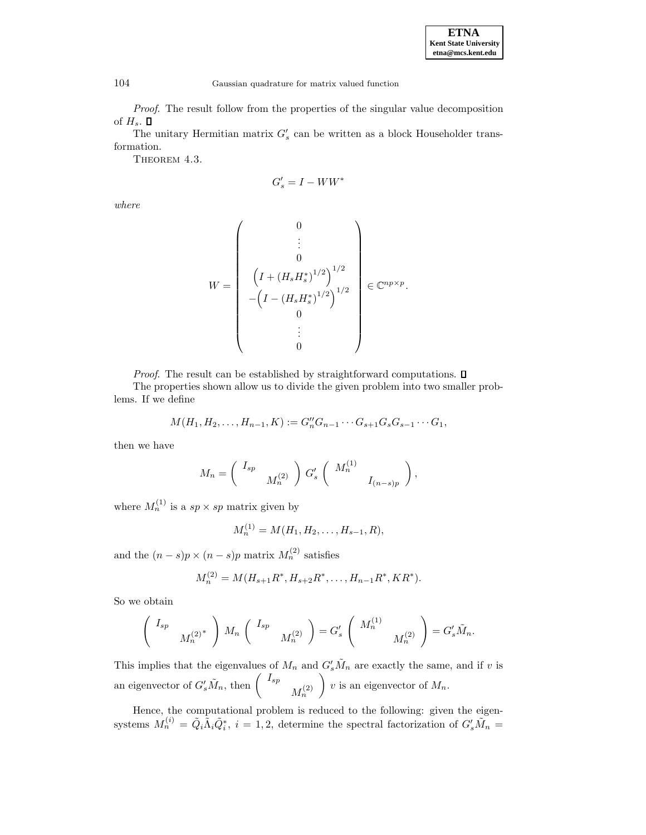*Proof*. The result follow from the properties of the singular value decomposition of  $H_s$ .  $\square$ 

The unitary Hermitian matrix  $G'_{s}$  can be written as a block Householder transformation.

THEOREM 4.3.

$$
G'_s = I - WW^*
$$

*where*

$$
W = \begin{pmatrix} 0 \\ \vdots \\ 0 \\ \left( I + (H_s H_s^*)^{1/2} \right)^{1/2} \\ -\left( I - (H_s H_s^*)^{1/2} \right)^{1/2} \\ 0 \\ \vdots \\ 0 \end{pmatrix} \in \mathbb{C}^{np \times p}.
$$

*Proof.* The result can be established by straightforward computations.  $\square$ 

The properties shown allow us to divide the given problem into two smaller problems. If we define

$$
M(H_1, H_2, \ldots, H_{n-1}, K) := G''_n G_{n-1} \cdots G_{s+1} G_s G_{s-1} \cdots G_1,
$$

then we have

$$
M_n = \left(\begin{array}{c} I_{sp} \\ M_n^{(2)} \end{array}\right) G_s' \left(\begin{array}{c} M_n^{(1)} \\ I_{(n-s)p} \end{array}\right),
$$

where  $M_n^{(1)}$  is a  $sp \times sp$  matrix given by

$$
M_n^{(1)} = M(H_1, H_2, \dots, H_{s-1}, R),
$$

and the  $(n-s)p \times (n-s)p$  matrix  $M_n^{(2)}$  satisfies

$$
M_n^{(2)} = M(H_{s+1}R^*, H_{s+2}R^*, \ldots, H_{n-1}R^*, KR^*).
$$

So we obtain

$$
\left(\begin{array}{cc}I_{sp} & \\ & M_n^{(2)^*}\end{array}\right)M_n\left(\begin{array}{cc}I_{sp} & \\ & M_n^{(2)}\end{array}\right)=G'_s\left(\begin{array}{cc}M_n^{(1)} & \\ & M_n^{(2)}\end{array}\right)=G'_s\tilde{M}_n.
$$

This implies that the eigenvalues of  $M_n$  and  $G'_s \tilde{M}_n$  are exactly the same, and if v is an eigenvector of  $G'_s \tilde{M}_n$ , then  $\begin{pmatrix} I_{sp} & \ M_n^{(2)} & \end{pmatrix}$ ) v is an eigenvector of  $M_n$ .

Hence, the computational problem is reduced to the following: given the eigensystems  $M_n^{(i)} = \tilde{Q}_i \tilde{\Lambda}_i \tilde{Q}_i^*, i = 1, 2$ , determine the spectral factorization of  $G'_s \tilde{M}_n =$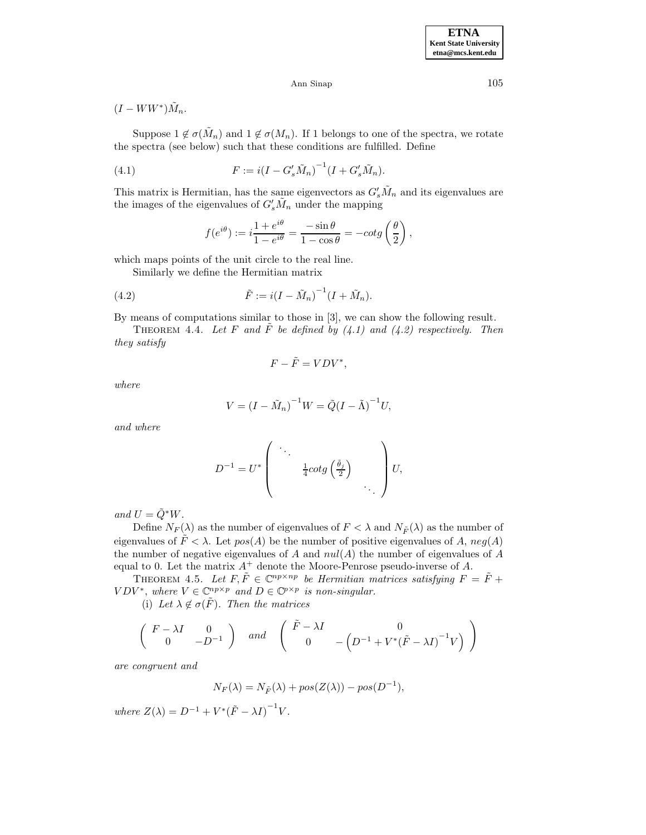$(I - WW^*)\tilde{M}_n$ .

Suppose  $1 \notin \sigma(\tilde{M}_n)$  and  $1 \notin \sigma(M_n)$ . If 1 belongs to one of the spectra, we rotate the spectra (see below) such that these conditions are fulfilled. Define

(4.1) 
$$
F := i(I - G'_s \tilde{M}_n)^{-1} (I + G'_s \tilde{M}_n).
$$

This matrix is Hermitian, has the same eigenvectors as  $G'_s \tilde{M}_n$  and its eigenvalues are the images of the eigenvalues of  $G'_s \tilde{M}_n$  under the mapping

$$
f(e^{i\theta}):=i\frac{1+e^{i\theta}}{1-e^{i\theta}}=\frac{-\sin\theta}{1-\cos\theta}=-cotg\left(\frac{\theta}{2}\right),
$$

which maps points of the unit circle to the real line.

Similarly we define the Hermitian matrix

(4.2) 
$$
\tilde{F} := i(I - \tilde{M}_n)^{-1}(I + \tilde{M}_n).
$$

By means of computations similar to those in [3], we can show the following result.

THEOREM 4.4. Let F and  $\tilde{F}$  be defined by  $(4.1)$  and  $(4.2)$  respectively. Then *they satisfy*

$$
F - \tilde{F} = VDV^*,
$$

*where*

$$
V = (I - \tilde{M}_n)^{-1}W = \tilde{Q}(I - \tilde{\Lambda})^{-1}U,
$$

*and where*

$$
D^{-1} = U^* \left( \begin{array}{ccc} \ddots & & \\ & \frac{1}{4}cot g\left(\frac{\tilde{\theta}_j}{2}\right) & \\ & & \ddots \end{array} \right) U,
$$

*and*  $U = \tilde{Q}^*W$ .

Define  $N_F(\lambda)$  as the number of eigenvalues of  $F < \lambda$  and  $N_{\tilde{F}}(\lambda)$  as the number of eigenvalues of  $\tilde{F} < \lambda$ . Let  $pos(A)$  be the number of positive eigenvalues of A,  $neg(A)$ the number of negative eigenvalues of A and  $nul(A)$  the number of eigenvalues of A equal to 0. Let the matrix  $A^+$  denote the Moore-Penrose pseudo-inverse of A.

THEOREM 4.5. Let  $F, \tilde{F} \in \mathbb{C}^{np \times np}$  be Hermitian matrices satisfying  $F = \tilde{F} +$  $VDV^*$ , where  $V \in \mathbb{C}^{np \times p}$  and  $D \in \mathbb{C}^{p \times p}$  is non-singular.

(i) Let  $\lambda \notin \sigma(F)$ *. Then the matrices* 

$$
\left(\begin{array}{cc} F - \lambda I & 0 \\ 0 & -D^{-1} \end{array}\right) \quad and \quad \left(\begin{array}{cc} \tilde{F} - \lambda I & 0 \\ 0 & -\left(D^{-1} + V^*(\tilde{F} - \lambda I)^{-1}V\right) \end{array}\right)
$$

*are congruent and*

$$
N_F(\lambda) = N_{\tilde{F}}(\lambda) + pos(Z(\lambda)) - pos(D^{-1}),
$$

 $where Z(\lambda) = D^{-1} + V^* (\tilde{F} - \lambda I)^{-1} V.$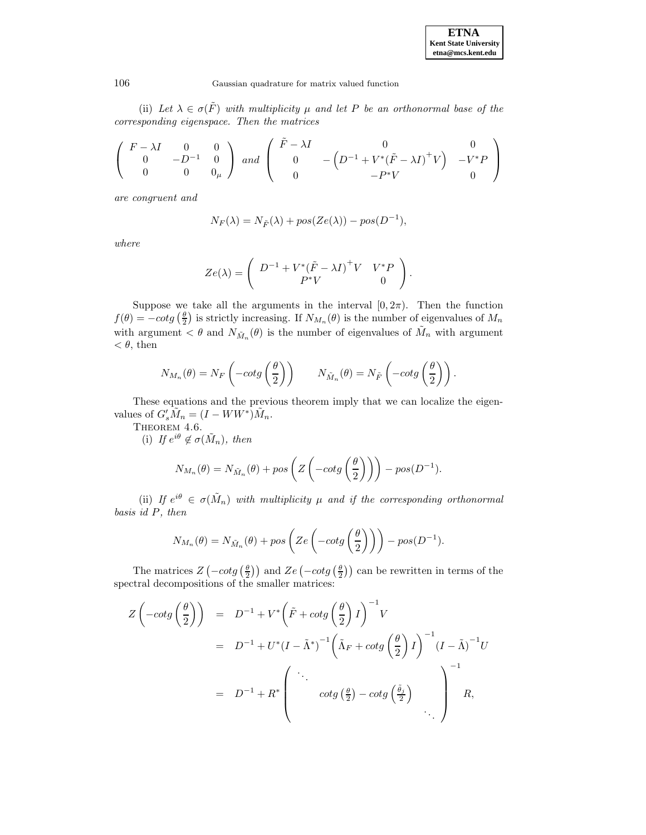(ii) Let  $\lambda \in \sigma(\tilde{F})$  with multiplicity  $\mu$  and let P be an orthonormal base of the *corresponding eigenspace. Then the matrices*

$$
\left(\begin{array}{ccc} F - \lambda I & 0 & 0 \\ 0 & -D^{-1} & 0 \\ 0 & 0 & 0_{\mu} \end{array}\right) \ and \ \left(\begin{array}{ccc} \tilde{F} - \lambda I & 0 & 0 \\ 0 & -\left(D^{-1} + V^*(\tilde{F} - \lambda I)^+V\right) & -V^*P \\ 0 & -P^*V & 0 \end{array}\right)
$$

*are congruent and*

$$
N_F(\lambda) = N_{\tilde{F}}(\lambda) + pos(Ze(\lambda)) - pos(D^{-1}),
$$

*where*

$$
Ze(\lambda) = \begin{pmatrix} D^{-1} + V^* (\tilde{F} - \lambda I)^+ V & V^* P \\ P^* V & 0 \end{pmatrix}.
$$

Suppose we take all the arguments in the interval  $[0, 2\pi)$ . Then the function  $f(\theta) = -\cot \frac{\theta}{2}$  is strictly increasing. If  $N_{M_n}(\theta)$  is the number of eigenvalues of  $M_n$ with argument  $\lt \theta$  and  $N_{\tilde{M}_n}(\theta)$  is the number of eigenvalues of  $\tilde{M}_n$  with argument  $< \theta$ , then

$$
N_{M_n}(\theta) = N_F \left( -\cot g \left( \frac{\theta}{2} \right) \right) \qquad N_{\tilde{M}_n}(\theta) = N_{\tilde{F}} \left( -\cot g \left( \frac{\theta}{2} \right) \right).
$$

These equations and the previous theorem imply that we can localize the eigenvalues of  $G'_s \tilde{M}_n = (I - WW^*) \tilde{M}_n$ .

THEOREM 4.6.

(i) If  $e^{i\theta} \notin \sigma(\tilde{M}_n)$ , then

$$
N_{M_n}(\theta) = N_{\tilde{M}_n}(\theta) + pos\left(Z\left(-\cot g\left(\frac{\theta}{2}\right)\right)\right) - pos(D^{-1}).
$$

(ii) *If*  $e^{i\theta} \in \sigma(\tilde{M}_n)$  *with multiplicity*  $\mu$  *and if the corresponding orthonormal basis id* P*, then*

$$
N_{M_n}(\theta) = N_{\tilde{M}_n}(\theta) + pos\left(Ze\left(-\cot g\left(\frac{\theta}{2}\right)\right)\right) - pos(D^{-1}).
$$

The matrices  $Z(-cot g(\frac{\theta}{2}))$  and  $Ze(-cot g(\frac{\theta}{2}))$  can be rewritten in terms of the spectral decompositions of the smaller matrices:

$$
Z\left(-\cot g\left(\frac{\theta}{2}\right)\right) = D^{-1} + V^*\left(\tilde{F} + \cot g\left(\frac{\theta}{2}\right)I\right)^{-1}V
$$
  
=  $D^{-1} + U^*(I - \tilde{\Lambda}^*)^{-1}\left(\tilde{\Lambda}_F + \cot g\left(\frac{\theta}{2}\right)I\right)^{-1}(I - \tilde{\Lambda})^{-1}U$   
=  $D^{-1} + R^*\left(\begin{array}{c} \cdot \cdot & \cdot & \cdot \\ \cdot & \cot g\left(\frac{\theta}{2}\right) - \cot g\left(\frac{\tilde{\theta}_j}{2}\right) \\ \cdot & \cdot & \cdot \end{array}\right)^{-1}R,$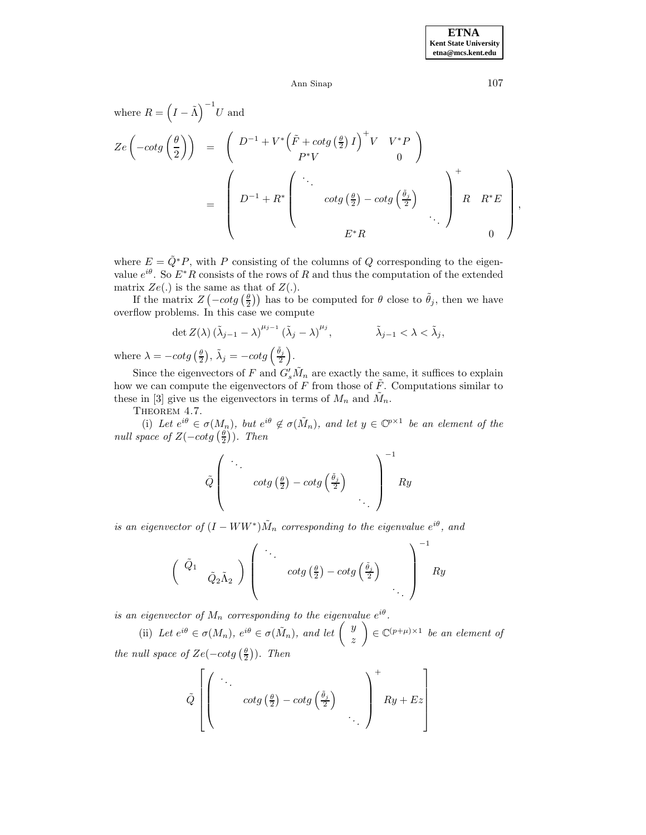where 
$$
R = (I - \tilde{\Lambda})^{-1}U
$$
 and  
\n
$$
Ze\left(-cot g\left(\frac{\theta}{2}\right)\right) = \left(D^{-1} + V^*\left(\tilde{F} + cot g\left(\frac{\theta}{2}\right)I\right)^+ V V^*P\right)
$$
\n
$$
= \left(D^{-1} + R^*\left(\begin{array}{c}\ddots\\cot g\left(\frac{\theta}{2}\right) - cot g\left(\frac{\tilde{\theta}}{2}\right)\\c f^*R\end{array}\right)\right)^+ R R^*E\right),
$$
\n
$$
E^*R
$$

where  $E = \tilde{Q}^*P$ , with P consisting of the columns of Q corresponding to the eigenvalue  $e^{i\theta}$ . So  $E^*R$  consists of the rows of R and thus the computation of the extended matrix  $Ze(.)$  is the same as that of  $Z(.)$ .

If the matrix  $Z(-cot g(\frac{\theta}{2}))$  has to be computed for  $\theta$  close to  $\tilde{\theta}_j$ , then we have overflow problems. In this case we compute

$$
\det Z(\lambda) \left(\tilde{\lambda}_{j-1} - \lambda\right)^{\mu_{j-1}} \left(\tilde{\lambda}_j - \lambda\right)^{\mu_j}, \qquad \tilde{\lambda}_{j-1} < \lambda < \tilde{\lambda}_j,
$$
  
- 
$$
\det z(\frac{\theta}{\lambda}) \tilde{\lambda}_{j-1} = -\cot(\frac{\theta_j}{\lambda})
$$

where  $\lambda = -\cot g\left(\frac{\theta}{2}\right), \tilde{\lambda}_j = -\cot g\left(\frac{\tilde{\theta}_j}{2}\right).$ 

Since the eigenvectors of F and  $G'_s \tilde{M}_n$  are exactly the same, it suffices to explain how we can compute the eigenvectors of F from those of  $\tilde{F}$ . Computations similar to these in [3] give us the eigenvectors in terms of  $M_n$  and  $\tilde{M}_n$ .

THEOREM 4.7.

(i) Let  $e^{i\theta} \in \sigma(M_n)$ , but  $e^{i\theta} \notin \sigma(\tilde{M}_n)$ , and let  $y \in \mathbb{C}^{p \times 1}$  be an element of the *null space of*  $Z(-cot g(\frac{\theta}{2}))$ *. Then* 

Q˜ *...* cotg <sup>θ</sup> 2 − cotg <sup>θ</sup> ˜*j* 2 *...* −1 Ry

*is an eigenvector of*  $(I - WW^*)\tilde{M}_n$  *corresponding to the eigenvalue*  $e^{i\theta}$ *, and* 

$$
\begin{pmatrix}\n\tilde{Q}_1 & \\
& \tilde{Q}_2 \tilde{\Lambda}_2\n\end{pmatrix}\n\begin{pmatrix}\n\ddots & \\
& cotg\left(\frac{\theta}{2}\right) - cotg\left(\frac{\tilde{\theta}_j}{2}\right) \\
& & \ddots\n\end{pmatrix}^{-1}Ry
$$

*is an eigenvector of*  $M_n$  *corresponding to the eigenvalue*  $e^{i\theta}$ *.* 

(ii) Let  $e^{i\theta} \in \sigma(M_n)$ ,  $e^{i\theta} \in \sigma(\tilde{M}_n)$ , and let  $\begin{pmatrix} y \\ z \end{pmatrix}$  $\Big) \in \mathbb{C}^{(p+\mu)\times 1}$  *be an element of the null space of*  $Ze(-cot g(\frac{\theta}{2}))$ *. Then* 

$$
\tilde{Q}\left[\left(\begin{array}{ccc} \ddots & & \\ & cotg\left(\frac{\theta}{2}\right) - cotg\left(\frac{\tilde{\theta}_{j}}{2}\right) & \\ & & \ddots \end{array}\right)^{+}Ry + Ez\right]
$$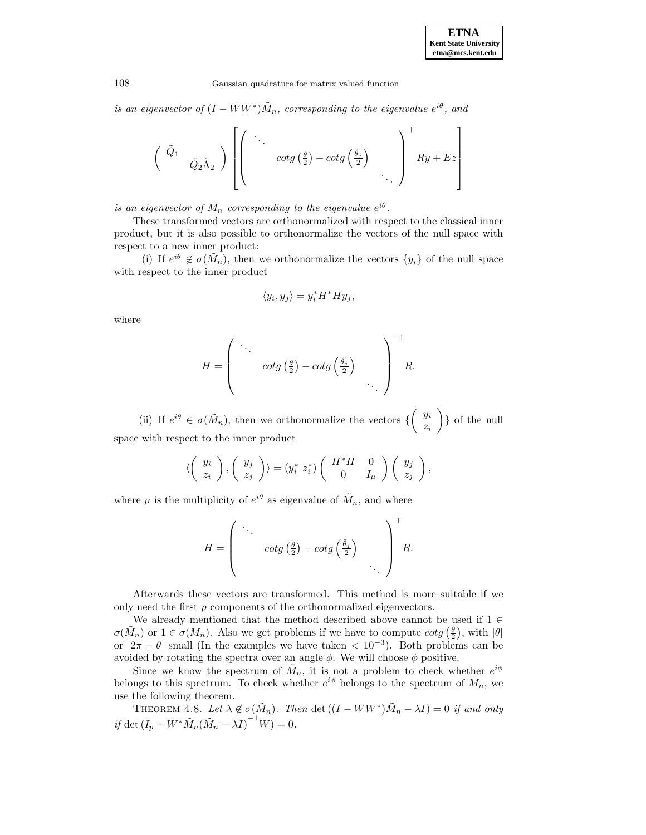*is an eigenvector of*  $(I - WW^*)\tilde{M}_n$ , corresponding to the eigenvalue  $e^{i\theta}$ , and

$$
\begin{pmatrix}\n\tilde{Q}_1 & \\
& \tilde{Q}_2 \tilde{\Lambda}_2\n\end{pmatrix}\n\left[\n\begin{pmatrix}\n\ddots & \\
& cotg\left(\frac{\theta}{2}\right) - cotg\left(\frac{\tilde{\theta}_j}{2}\right) \\
& & \ddots\n\end{pmatrix}\n\right]^+ R y + E z
$$

*is an eigenvector of*  $M_n$  *corresponding to the eigenvalue*  $e^{i\theta}$ *.* 

These transformed vectors are orthonormalized with respect to the classical inner product, but it is also possible to orthonormalize the vectors of the null space with respect to a new inner product:

(i) If  $e^{i\theta} \notin \sigma(\tilde{M}_n)$ , then we orthonormalize the vectors  $\{y_i\}$  of the null space with respect to the inner product

$$
\langle y_i, y_j \rangle = y_i^* H^* H y_j,
$$

where

$$
H = \begin{pmatrix} \ddots & & \\ & \cos\left(\frac{\theta}{2}\right) - \cos\left(\frac{\tilde{\theta}_j}{2}\right) & \\ & \ddots & \ddots \end{pmatrix}^{-1} R.
$$

(ii) If eiθ ∈ σ(M˜ <sup>n</sup>), then we orthonormalize the vectors { y<sup>i</sup> zi  $\}$  of the null space with respect to the inner product

$$
\langle \left(\begin{array}{c} y_i \\ z_i \end{array}\right), \left(\begin{array}{c} y_j \\ z_j \end{array}\right) \rangle = (y_i^* \ z_i^*) \left(\begin{array}{cc} H^*H & 0 \\ 0 & I_\mu \end{array}\right) \left(\begin{array}{c} y_j \\ z_j \end{array}\right),
$$

where  $\mu$  is the multiplicity of  $e^{i\theta}$  as eigenvalue of  $\tilde{M}_n$ , and where

$$
H = \left(\begin{array}{c} \ddots & \\ & cotg\left(\frac{\theta}{2}\right) - cotg\left(\frac{\tilde{\theta}_{j}}{2}\right) \\ & & \ddots \end{array}\right)^{+} R.
$$

Afterwards these vectors are transformed. This method is more suitable if we only need the first  $p$  components of the orthonormalized eigenvectors.

We already mentioned that the method described above cannot be used if  $1 \in$  $\sigma(\tilde{M}_n)$  or  $1 \in \sigma(M_n)$ . Also we get problems if we have to compute  $\cot g\left(\frac{\theta}{2}\right)$ , with  $|\theta|$ or  $|2\pi - \theta|$  small (In the examples we have taken  $\lt 10^{-3}$ ). Both problems can be avoided by rotating the spectra over an angle  $\phi$ . We will choose  $\phi$  positive.

Since we know the spectrum of  $\tilde{M}_n$ , it is not a problem to check whether  $e^{i\phi}$ belongs to this spectrum. To check whether  $e^{i\phi}$  belongs to the spectrum of  $M_n$ , we use the following theorem.

THEOREM 4.8. Let  $\lambda \notin \sigma(\tilde{M}_n)$ . Then det  $((I - WW^*)\tilde{M}_n - \lambda I) = 0$  *if and only*  $if \det (I_p - W^* \tilde{M}_n (\tilde{M}_n - \lambda I)^{-1} W) = 0.$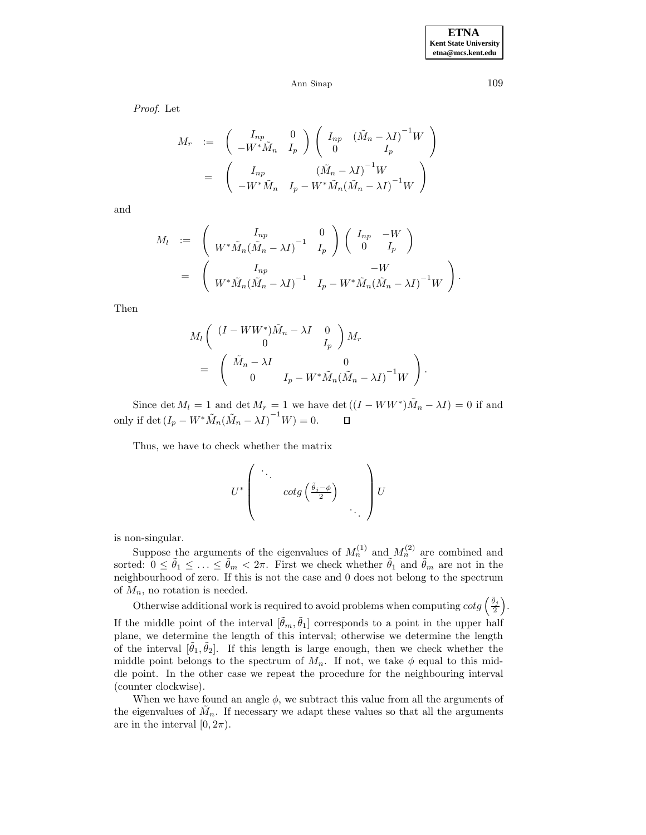*Proof*. Let

$$
M_r := \begin{pmatrix} I_{np} & 0 \\ -W^* \tilde{M}_n & I_p \end{pmatrix} \begin{pmatrix} I_{np} & (\tilde{M}_n - \lambda I)^{-1} W \\ 0 & I_p \end{pmatrix}
$$
  
= 
$$
\begin{pmatrix} I_{np} & (\tilde{M}_n - \lambda I)^{-1} W \\ -W^* \tilde{M}_n & I_p - W^* \tilde{M}_n (\tilde{M}_n - \lambda I)^{-1} W \end{pmatrix}
$$

and

$$
M_l := \begin{pmatrix} I_{np} & 0 \\ W^* \tilde{M}_n (\tilde{M}_n - \lambda I)^{-1} & I_p \end{pmatrix} \begin{pmatrix} I_{np} & -W \\ 0 & I_p \end{pmatrix}
$$
  
= 
$$
\begin{pmatrix} I_{np} & -W \\ W^* \tilde{M}_n (\tilde{M}_n - \lambda I)^{-1} & I_p - W^* \tilde{M}_n (\tilde{M}_n - \lambda I)^{-1} W \end{pmatrix}.
$$

Then

$$
M_{l}\left(\begin{array}{ccc} (I-WW^{*})\tilde{M}_{n}-\lambda I & 0\\ 0 & I_{p} \end{array}\right)M_{r}
$$
  
=\left(\begin{array}{ccc} \tilde{M}\_{n}-\lambda I & 0\\ 0 & I\_{p}-W^{\*}\tilde{M}\_{n}(\tilde{M}\_{n}-\lambda I)^{-1}W \end{array}\right).

Since det  $M_l = 1$  and det  $M_r = 1$  we have det  $((I - WW^*)\tilde{M}_n - \lambda I) = 0$  if and only if det  $(I_p - W^* \tilde{M}_n(\tilde{M}_n - \lambda I)^{-1} W) = 0.$  $\Box$ 

Thus, we have to check whether the matrix

$$
U^* \left( \begin{array}{ccc} \ddots & & \\ & cotg\left(\frac{\tilde{\theta}_j - \phi}{2}\right) & \\ & & \ddots \end{array} \right) U
$$

is non-singular.

Suppose the arguments of the eigenvalues of  $M_n^{(1)}$  and  $M_n^{(2)}$  are combined and sorted:  $0 \le \tilde{\theta}_1 \le \ldots \le \tilde{\theta}_m < 2\pi$ . First we check whether  $\tilde{\theta}_1$  and  $\tilde{\theta}_m$  are not in the neighbourhood of zero. If this is not the case and 0 does not belong to the spectrum of  $M_n$ , no rotation is needed.

Otherwise additional work is required to avoid problems when computing  $cot g\left(\frac{\tilde{\theta}_j}{2}\right)$ .

If the middle point of the interval  $[\tilde{\theta}_m, \tilde{\theta}_1]$  corresponds to a point in the upper half plane, we determine the length of this interval; otherwise we determine the length of the interval  $[\hat{\theta}_1, \hat{\theta}_2]$ . If this length is large enough, then we check whether the middle point belongs to the spectrum of  $M_n$ . If not, we take  $\phi$  equal to this middle point. In the other case we repeat the procedure for the neighbouring interval (counter clockwise).

When we have found an angle  $\phi$ , we subtract this value from all the arguments of the eigenvalues of  $\tilde{M}_n$ . If necessary we adapt these values so that all the arguments are in the interval  $[0, 2\pi)$ .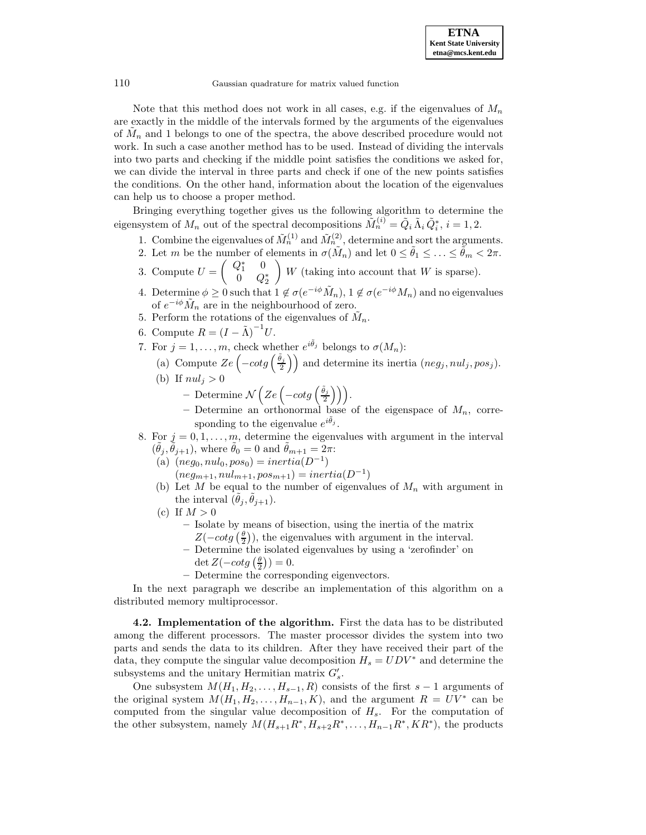Note that this method does not work in all cases, e.g. if the eigenvalues of  $M_n$ are exactly in the middle of the intervals formed by the arguments of the eigenvalues of  $M_n$  and 1 belongs to one of the spectra, the above described procedure would not work. In such a case another method has to be used. Instead of dividing the intervals into two parts and checking if the middle point satisfies the conditions we asked for, we can divide the interval in three parts and check if one of the new points satisfies the conditions. On the other hand, information about the location of the eigenvalues can help us to choose a proper method.

Bringing everything together gives us the following algorithm to determine the eigensystem of  $M_n$  out of the spectral decompositions  $\tilde{M}_n^{(i)} = \tilde{Q}_i \tilde{\Lambda}_i \tilde{Q}_i^*, i = 1, 2$ .

- 1. Combine the eigenvalues of  $\tilde{M}_n^{(1)}$  and  $\tilde{M}_n^{(2)}$ , determine and sort the arguments.
- 2. Let m be the number of elements in  $\sigma(\tilde{M}_n)$  and let  $0 \le \tilde{\theta}_1 \le \ldots \le \tilde{\theta}_m < 2\pi$ .
- 3. Compute  $U = \begin{pmatrix} Q_1^* & 0 \\ 0 & Q_1 \end{pmatrix}$  $0 \quad Q_2^*$  $\bigg(W$  (taking into account that W is sparse).
- 4. Determine  $\phi \geq 0$  such that  $1 \notin \sigma(e^{-i\phi} \tilde{M}_n)$ ,  $1 \notin \sigma(e^{-i\phi} M_n)$  and no eigenvalues of  $e^{-i\phi} \tilde{M}_n$  are in the neighbourhood of zero.
- 5. Perform the rotations of the eigenvalues of  $\tilde{M}_n$ .
- 6. Compute  $R = (I \tilde{\Lambda})^{-1}U$ .
- 7. For  $j = 1, ..., m$ , check whether  $e^{i\tilde{\theta}_j}$  belongs to  $\sigma(M_n)$ :
	- (a) Compute  $Ze\left(-cotg\left(\frac{\tilde{\theta}_j}{2}\right)\right)$  and determine its inertia  $(neg_j, nul_j, pos_j)$ .
	- (b) If  $nul_j > 0$ 
		- $-$  Determine  $\mathcal{N}\left(Ze\left(-cot g\left(\frac{\tilde{\theta}_j}{2}\right)\right)\right)$ .
		- $-$  Determine an orthonormal base of the eigenspace of  $M_n$ , corresponding to the eigenvalue  $e^{i\tilde{\theta}_j}$ .
- 8. For  $j = 0, 1, \ldots, m$ , determine the eigenvalues with argument in the interval  $(\tilde{\theta}_i, \tilde{\theta}_{j+1}),$  where  $\tilde{\theta}_0 = 0$  and  $\tilde{\theta}_{m+1} = 2\pi$ :
	- (a)  $(neg_0, nul_0, pos_0) = inertia(D^{-1})$ 
		- $(neg_{m+1}, null_{m+1}, pos_{m+1}) = inertia(D^{-1})$
	- (b) Let M be equal to the number of eigenvalues of  $M_n$  with argument in the interval  $(\theta_i, \theta_{i+1})$ .
	- (c) If  $M > 0$ 
		- **–** Isolate by means of bisection, using the inertia of the matrix  $Z(-cot g(\frac{\theta}{2}))$ , the eigenvalues with argument in the interval.
		- **–** Determine the isolated eigenvalues by using a 'zerofinder' on det  $Z(-cot g\left(\frac{\theta}{2}\right))=0.$
		- **–** Determine the corresponding eigenvectors.

In the next paragraph we describe an implementation of this algorithm on a distributed memory multiprocessor.

**4.2. Implementation of the algorithm.** First the data has to be distributed among the different processors. The master processor divides the system into two parts and sends the data to its children. After they have received their part of the data, they compute the singular value decomposition  $H_s = UDV^*$  and determine the subsystems and the unitary Hermitian matrix  $G'_{s}$ .

One subsystem  $M(H_1, H_2, \ldots, H_{s-1}, R)$  consists of the first  $s-1$  arguments of the original system  $M(H_1, H_2, \ldots, H_{n-1}, K)$ , and the argument  $R = UV^*$  can be computed from the singular value decomposition of  $H_s$ . For the computation of the other subsystem, namely  $M(H_{s+1}R^*, H_{s+2}R^*, \ldots, H_{n-1}R^*, KR^*)$ , the products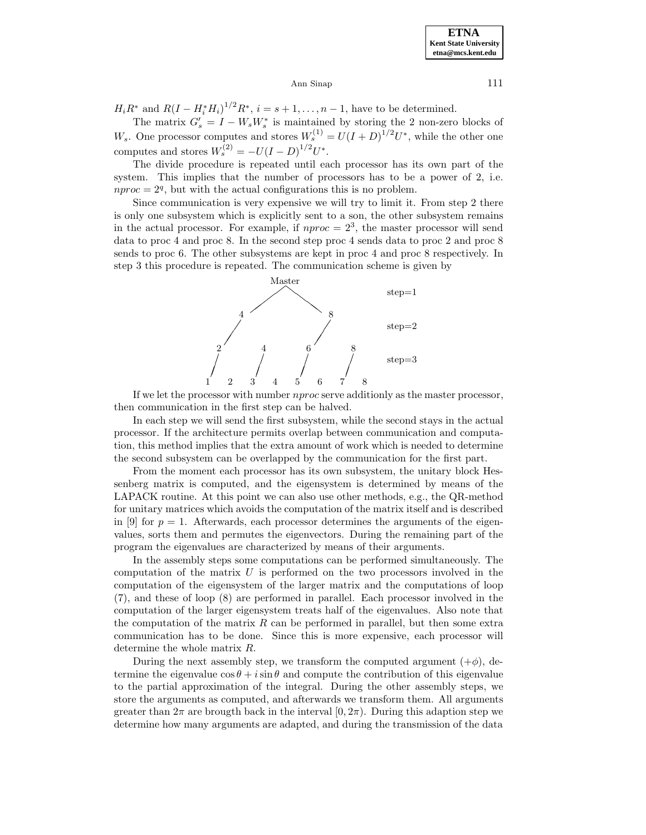$H_i R^*$  and  $R(I - H_i^* H_i)^{1/2} R^*, i = s + 1, ..., n - 1$ , have to be determined.

The matrix  $G'_{s} = I - W_{s}W_{s}^{*}$  is maintained by storing the 2 non-zero blocks of  $W_s$ . One processor computes and stores  $W_s^{(1)} = U(I+D)^{1/2}U^*$ , while the other one computes and stores  $W_s^{(2)} = -U(I-D)^{1/2}U^*$ .

The divide procedure is repeated until each processor has its own part of the system. This implies that the number of processors has to be a power of 2, i.e.  $nproc = 2<sup>q</sup>$ , but with the actual configurations this is no problem.

Since communication is very expensive we will try to limit it. From step 2 there is only one subsystem which is explicitly sent to a son, the other subsystem remains in the actual processor. For example, if  $nproc = 2<sup>3</sup>$ , the master processor will send data to proc 4 and proc 8. In the second step proc 4 sends data to proc 2 and proc 8 sends to proc 6. The other subsystems are kept in proc 4 and proc 8 respectively. In step 3 this procedure is repeated. The communication scheme is given by



If we let the processor with number nproc serve additionly as the master processor, then communication in the first step can be halved.

In each step we will send the first subsystem, while the second stays in the actual processor. If the architecture permits overlap between communication and computation, this method implies that the extra amount of work which is needed to determine the second subsystem can be overlapped by the communication for the first part.

From the moment each processor has its own subsystem, the unitary block Hessenberg matrix is computed, and the eigensystem is determined by means of the LAPACK routine. At this point we can also use other methods, e.g., the QR-method for unitary matrices which avoids the computation of the matrix itself and is described in [9] for  $p = 1$ . Afterwards, each processor determines the arguments of the eigenvalues, sorts them and permutes the eigenvectors. During the remaining part of the program the eigenvalues are characterized by means of their arguments.

In the assembly steps some computations can be performed simultaneously. The computation of the matrix  $U$  is performed on the two processors involved in the computation of the eigensystem of the larger matrix and the computations of loop (7), and these of loop (8) are performed in parallel. Each processor involved in the computation of the larger eigensystem treats half of the eigenvalues. Also note that the computation of the matrix  $R$  can be performed in parallel, but then some extra communication has to be done. Since this is more expensive, each processor will determine the whole matrix R.

During the next assembly step, we transform the computed argument  $(+\phi)$ , determine the eigenvalue  $\cos \theta + i \sin \theta$  and compute the contribution of this eigenvalue to the partial approximation of the integral. During the other assembly steps, we store the arguments as computed, and afterwards we transform them. All arguments greater than  $2\pi$  are brougth back in the interval  $[0, 2\pi)$ . During this adaption step we determine how many arguments are adapted, and during the transmission of the data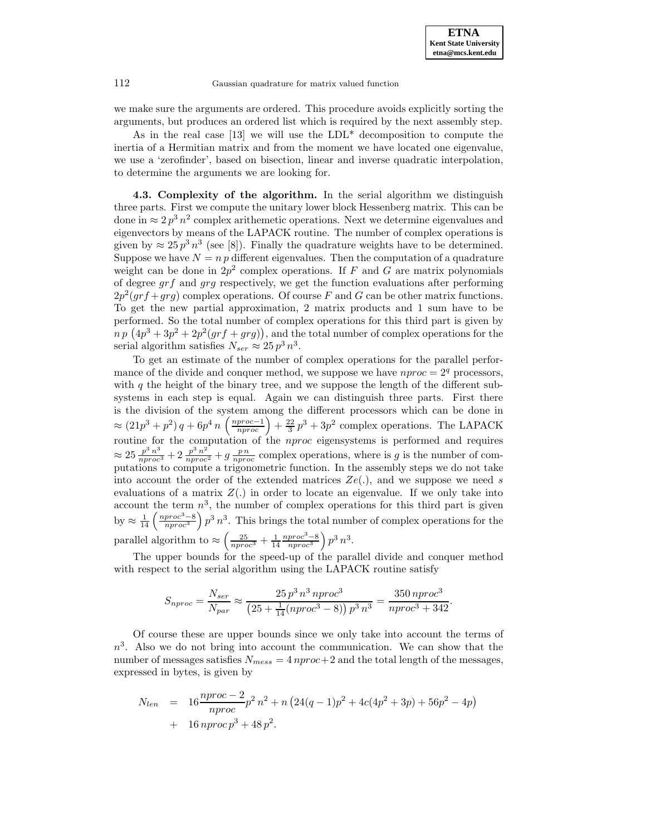we make sure the arguments are ordered. This procedure avoids explicitly sorting the arguments, but produces an ordered list which is required by the next assembly step.

As in the real case [13] we will use the  $LDL^*$  decomposition to compute the inertia of a Hermitian matrix and from the moment we have located one eigenvalue, we use a 'zerofinder', based on bisection, linear and inverse quadratic interpolation, to determine the arguments we are looking for.

**4.3. Complexity of the algorithm.** In the serial algorithm we distinguish three parts. First we compute the unitary lower block Hessenberg matrix. This can be done in  $\approx 2 p^3 n^2$  complex arithemetic operations. Next we determine eigenvalues and eigenvectors by means of the LAPACK routine. The number of complex operations is given by  $\approx 25 p^3 n^3$  (see [8]). Finally the quadrature weights have to be determined. Suppose we have  $N = n p$  different eigenvalues. Then the computation of a quadrature weight can be done in  $2p^2$  complex operations. If F and G are matrix polynomials of degree  $grf$  and  $grg$  respectively, we get the function evaluations after performing  $2p^2(qrf+grg)$  complex operations. Of course F and G can be other matrix functions. To get the new partial approximation, 2 matrix products and 1 sum have to be performed. So the total number of complex operations for this third part is given by  $n p (4p<sup>3</sup> + 3p<sup>2</sup> + 2p<sup>2</sup>(grf + grg)),$  and the total number of complex operations for the serial algorithm satisfies  $N_{ser} \approx 25 p^3 n^3$ .

To get an estimate of the number of complex operations for the parallel performance of the divide and conquer method, we suppose we have  $nproc = 2<sup>q</sup>$  processors, with  $q$  the height of the binary tree, and we suppose the length of the different subsystems in each step is equal. Again we can distinguish three parts. First there is the division of the system among the different processors which can be done in  $\approx (21p^3+p^2)q+6p^4n\left(\frac{nproc-1}{nproc}\right)+\frac{22}{3}p^3+3p^2$  complex operations. The LAPACK routine for the computation of the *nproc* eigensystems is performed and requires  $\approx 25 \frac{p^3 n^3}{n \cdot p \cdot r \cdot c^2} + 2 \frac{p^3 n^2}{n \cdot p \cdot r \cdot c^2} + g \frac{p n}{n \cdot p \cdot r \cdot c}$  complex operations, where is g is the number of computations to compute a trigonometric function. In the assembly steps we do not take into account the order of the extended matrices  $Ze(.)$ , and we suppose we need s evaluations of a matrix  $Z(.)$  in order to locate an eigenvalue. If we only take into account the term  $n^3$ , the number of complex operations for this third part is given by  $\approx \frac{1}{14} \left( \frac{nproc^3 - 8}{nproc^3} \right) p^3 n^3$ . This brings the total number of complex operations for the parallel algorithm to  $\approx \left(\frac{25}{nproc^3} + \frac{1}{14} \frac{nproc^3 - 8}{nproc^3}\right) p^3 n^3$ .

The upper bounds for the speed-up of the parallel divide and conquer method with respect to the serial algorithm using the LAPACK routine satisfy

$$
S_{nproc} = \frac{N_{ser}}{N_{par}} \approx \frac{25 p^3 n^3 nproc^3}{(25 + \frac{1}{14}(nproc^3 - 8)) p^3 n^3} = \frac{350 nproc^3}{nproc^3 + 342}.
$$

Of course these are upper bounds since we only take into account the terms of  $n<sup>3</sup>$ . Also we do not bring into account the communication. We can show that the number of messages satisfies  $N_{mess} = 4$  nproc+2 and the total length of the messages, expressed in bytes, is given by

$$
N_{len} = 16 \frac{nproc - 2}{nproc} p^2 n^2 + n (24(q - 1)p^2 + 4c(4p^2 + 3p) + 56p^2 - 4p)
$$
  
+ 16 nproc p<sup>3</sup> + 48 p<sup>2</sup>.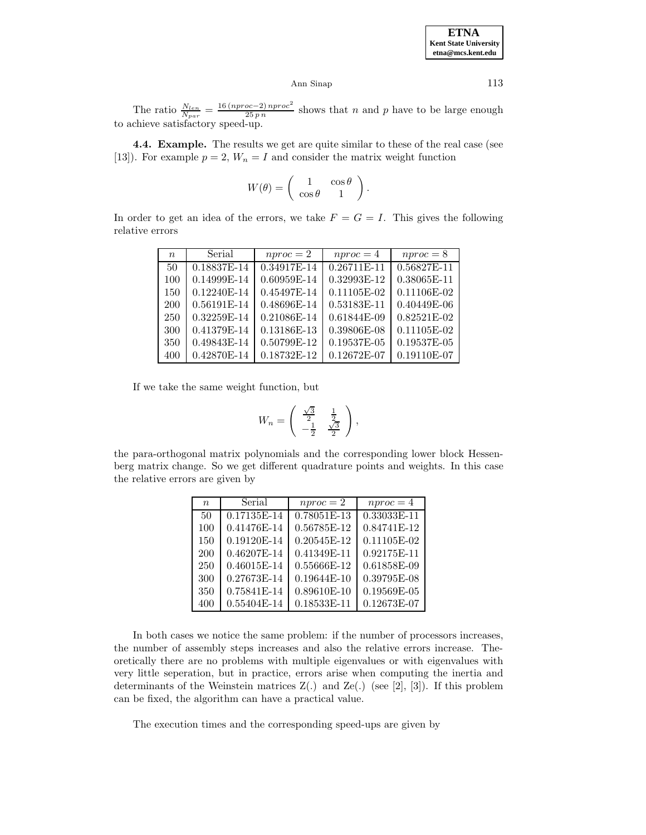The ratio  $\frac{N_{len}}{N_{par}} = \frac{16 (nproc-2) nproc^2}{25 p n}$  shows that n and p have to be large enough to achieve satisfactory speed-up.

**4.4. Example.** The results we get are quite similar to these of the real case (see [13]). For example  $p = 2$ ,  $W_n = I$  and consider the matrix weight function

$$
W(\theta) = \begin{pmatrix} 1 & \cos \theta \\ \cos \theta & 1 \end{pmatrix}.
$$

In order to get an idea of the errors, we take  $F = G = I$ . This gives the following relative errors

| $\boldsymbol{n}$ | Serial      | $nproc = 2$ | $nproc = 4$   | $nproc = 8$ |
|------------------|-------------|-------------|---------------|-------------|
| 50               | 0.18837E-14 | 0.34917E-14 | $0.26711E-11$ | 0.56827E-11 |
| 100              | 0.14999E-14 | 0.60959E-14 | 0.32993E-12   | 0.38065E-11 |
| 150              | 0.12240E-14 | 0.45497E-14 | 0.11105E-02   | 0.11106E-02 |
| 200              | 0.56191E-14 | 0.48696E-14 | 0.53183E-11   | 0.40449E-06 |
| 250              | 0.32259E-14 | 0.21086E-14 | 0.61844E-09   | 0.82521E-02 |
| 300              | 0.41379E-14 | 0.13186E-13 | 0.39806E-08   | 0.11105E-02 |
| 350              | 0.49843E-14 | 0.50799E-12 | 0.19537E-05   | 0.19537E-05 |
| 400              | 0.42870E-14 | 0.18732E-12 | 0.12672E-07   | 0.19110E-07 |

If we take the same weight function, but

$$
W_n = \begin{pmatrix} \frac{\sqrt{3}}{2} & \frac{1}{2} \\ -\frac{1}{2} & \frac{\sqrt{3}}{2} \end{pmatrix},
$$

the para-orthogonal matrix polynomials and the corresponding lower block Hessenberg matrix change. So we get different quadrature points and weights. In this case the relative errors are given by

| $\boldsymbol{n}$ | Serial      | $nproc = 2$   | $nproc = 4$   |
|------------------|-------------|---------------|---------------|
| 50               | 0.17135E-14 | 0.78051E-13   | 0.33033E-11   |
| 100              | 0.41476E-14 | $0.56785E-12$ | 0.84741E-12   |
| 150              | 0.19120E-14 | $0.20545E-12$ | $0.11105E-02$ |
| 200              | 0.46207E-14 | $0.41349E-11$ | 0.92175E-11   |
| 250              | 0.46015E-14 | 0.55666E-12   | 0.61858E-09   |
| 300              | 0.27673E-14 | $0.19644E-10$ | 0.39795E-08   |
| 350              | 0.75841E-14 | $0.89610E-10$ | $0.19569E-05$ |
| 400              | 0.55404E-14 | 0.18533E-11   | 0.12673E-07   |

In both cases we notice the same problem: if the number of processors increases, the number of assembly steps increases and also the relative errors increase. Theoretically there are no problems with multiple eigenvalues or with eigenvalues with very little seperation, but in practice, errors arise when computing the inertia and determinants of the Weinstein matrices  $Z(.)$  and  $Ze(.)$  (see [2], [3]). If this problem can be fixed, the algorithm can have a practical value.

The execution times and the corresponding speed-ups are given by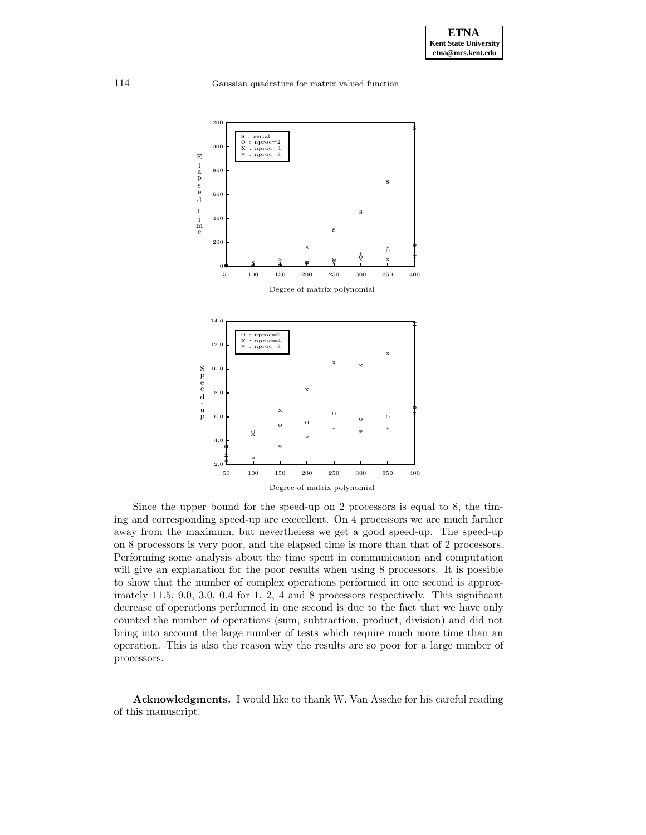

Since the upper bound for the speed-up on 2 processors is equal to 8, the timing and corresponding speed-up are execellent. On 4 processors we are much farther away from the maximum, but nevertheless we get a good speed-up. The speed-up on 8 processors is very poor, and the elapsed time is more than that of 2 processors. Performing some analysis about the time spent in communication and computation will give an explanation for the poor results when using 8 processors. It is possible to show that the number of complex operations performed in one second is approximately 11.5, 9.0, 3.0, 0.4 for 1, 2, 4 and 8 processors respectively. This significant decrease of operations performed in one second is due to the fact that we have only counted the number of operations (sum, subtraction, product, division) and did not bring into account the large number of tests which require much more time than an operation. This is also the reason why the results are so poor for a large number of processors.

**Acknowledgments.** I would like to thank W. Van Assche for his careful reading of this manuscript.